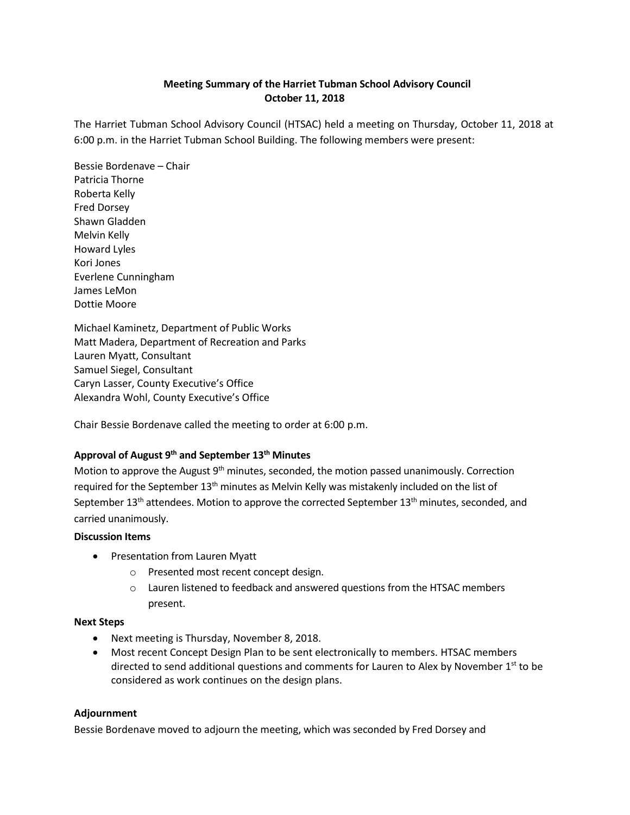# **Meeting Summary of the Harriet Tubman School Advisory Council October 11, 2018**

The Harriet Tubman School Advisory Council (HTSAC) held a meeting on Thursday, October 11, 2018 at 6:00 p.m. in the Harriet Tubman School Building. The following members were present:

Bessie Bordenave – Chair Patricia Thorne Roberta Kelly Fred Dorsey Shawn Gladden Melvin Kelly Howard Lyles Kori Jones Everlene Cunningham James LeMon Dottie Moore

Michael Kaminetz, Department of Public Works Matt Madera, Department of Recreation and Parks Lauren Myatt, Consultant Samuel Siegel, Consultant Caryn Lasser, County Executive's Office Alexandra Wohl, County Executive's Office

Chair Bessie Bordenave called the meeting to order at 6:00 p.m.

# **Approval of August 9th and September 13th Minutes**

Motion to approve the August 9<sup>th</sup> minutes, seconded, the motion passed unanimously. Correction required for the September 13<sup>th</sup> minutes as Melvin Kelly was mistakenly included on the list of September  $13<sup>th</sup>$  attendees. Motion to approve the corrected September  $13<sup>th</sup>$  minutes, seconded, and carried unanimously.

### **Discussion Items**

- Presentation from Lauren Myatt
	- o Presented most recent concept design.
	- o Lauren listened to feedback and answered questions from the HTSAC members present.

### **Next Steps**

- Next meeting is Thursday, November 8, 2018.
- Most recent Concept Design Plan to be sent electronically to members. HTSAC members directed to send additional questions and comments for Lauren to Alex by November  $1<sup>st</sup>$  to be considered as work continues on the design plans.

### **Adjournment**

Bessie Bordenave moved to adjourn the meeting, which was seconded by Fred Dorsey and